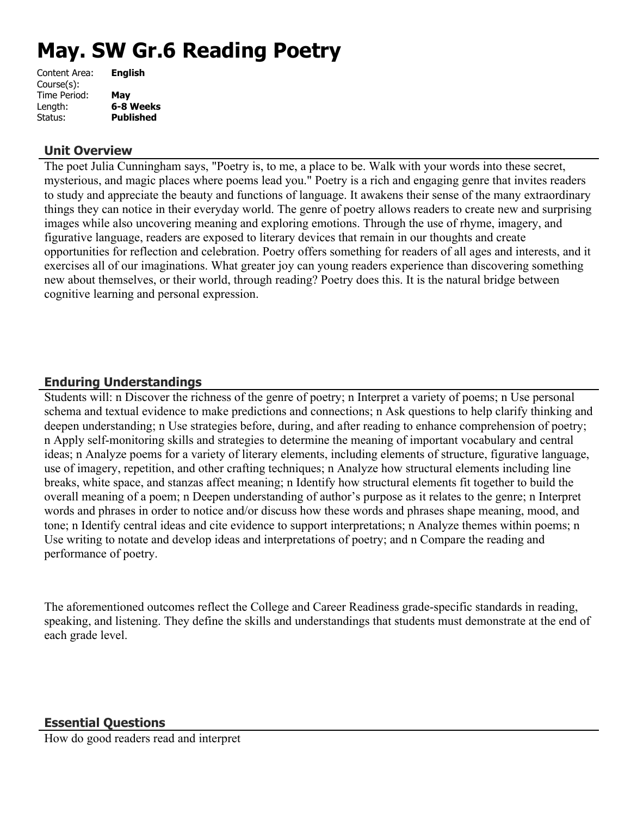# **May. SW Gr.6 Reading Poetry**

| Content Area: | <b>English</b>   |
|---------------|------------------|
| Course(s):    |                  |
| Time Period:  | May              |
| Length:       | 6-8 Weeks        |
| Status:       | <b>Published</b> |
|               |                  |

## **Unit Overview**

The poet Julia Cunningham says, "Poetry is, to me, a place to be. Walk with your words into these secret, mysterious, and magic places where poems lead you." Poetry is a rich and engaging genre that invites readers to study and appreciate the beauty and functions of language. It awakens their sense of the many extraordinary things they can notice in their everyday world. The genre of poetry allows readers to create new and surprising images while also uncovering meaning and exploring emotions. Through the use of rhyme, imagery, and figurative language, readers are exposed to literary devices that remain in our thoughts and create opportunities for reflection and celebration. Poetry offers something for readers of all ages and interests, and it exercises all of our imaginations. What greater joy can young readers experience than discovering something new about themselves, or their world, through reading? Poetry does this. It is the natural bridge between cognitive learning and personal expression.

# **Enduring Understandings**

Students will: n Discover the richness of the genre of poetry; n Interpret a variety of poems; n Use personal schema and textual evidence to make predictions and connections; n Ask questions to help clarify thinking and deepen understanding; n Use strategies before, during, and after reading to enhance comprehension of poetry; n Apply self-monitoring skills and strategies to determine the meaning of important vocabulary and central ideas; n Analyze poems for a variety of literary elements, including elements of structure, figurative language, use of imagery, repetition, and other crafting techniques; n Analyze how structural elements including line breaks, white space, and stanzas affect meaning; n Identify how structural elements fit together to build the overall meaning of a poem; n Deepen understanding of author's purpose as it relates to the genre; n Interpret words and phrases in order to notice and/or discuss how these words and phrases shape meaning, mood, and tone; n Identify central ideas and cite evidence to support interpretations; n Analyze themes within poems; n Use writing to notate and develop ideas and interpretations of poetry; and n Compare the reading and performance of poetry.

The aforementioned outcomes reflect the College and Career Readiness grade-specific standards in reading, speaking, and listening. They define the skills and understandings that students must demonstrate at the end of each grade level.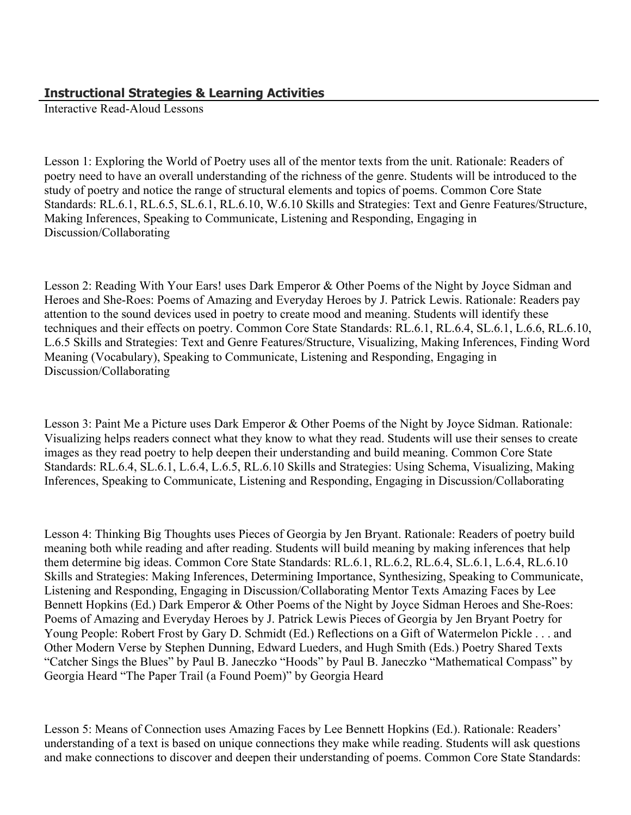# **Instructional Strategies & Learning Activities**

Interactive Read-Aloud Lessons

Lesson 1: Exploring the World of Poetry uses all of the mentor texts from the unit. Rationale: Readers of poetry need to have an overall understanding of the richness of the genre. Students will be introduced to the study of poetry and notice the range of structural elements and topics of poems. Common Core State Standards: RL.6.1, RL.6.5, SL.6.1, RL.6.10, W.6.10 Skills and Strategies: Text and Genre Features/Structure, Making Inferences, Speaking to Communicate, Listening and Responding, Engaging in Discussion/Collaborating

Lesson 2: Reading With Your Ears! uses Dark Emperor & Other Poems of the Night by Joyce Sidman and Heroes and She-Roes: Poems of Amazing and Everyday Heroes by J. Patrick Lewis. Rationale: Readers pay attention to the sound devices used in poetry to create mood and meaning. Students will identify these techniques and their effects on poetry. Common Core State Standards: RL.6.1, RL.6.4, SL.6.1, L.6.6, RL.6.10, L.6.5 Skills and Strategies: Text and Genre Features/Structure, Visualizing, Making Inferences, Finding Word Meaning (Vocabulary), Speaking to Communicate, Listening and Responding, Engaging in Discussion/Collaborating

Lesson 3: Paint Me a Picture uses Dark Emperor & Other Poems of the Night by Joyce Sidman. Rationale: Visualizing helps readers connect what they know to what they read. Students will use their senses to create images as they read poetry to help deepen their understanding and build meaning. Common Core State Standards: RL.6.4, SL.6.1, L.6.4, L.6.5, RL.6.10 Skills and Strategies: Using Schema, Visualizing, Making Inferences, Speaking to Communicate, Listening and Responding, Engaging in Discussion/Collaborating

Lesson 4: Thinking Big Thoughts uses Pieces of Georgia by Jen Bryant. Rationale: Readers of poetry build meaning both while reading and after reading. Students will build meaning by making inferences that help them determine big ideas. Common Core State Standards: RL.6.1, RL.6.2, RL.6.4, SL.6.1, L.6.4, RL.6.10 Skills and Strategies: Making Inferences, Determining Importance, Synthesizing, Speaking to Communicate, Listening and Responding, Engaging in Discussion/Collaborating Mentor Texts Amazing Faces by Lee Bennett Hopkins (Ed.) Dark Emperor & Other Poems of the Night by Joyce Sidman Heroes and She-Roes: Poems of Amazing and Everyday Heroes by J. Patrick Lewis Pieces of Georgia by Jen Bryant Poetry for Young People: Robert Frost by Gary D. Schmidt (Ed.) Reflections on a Gift of Watermelon Pickle . . . and Other Modern Verse by Stephen Dunning, Edward Lueders, and Hugh Smith (Eds.) Poetry Shared Texts "Catcher Sings the Blues" by Paul B. Janeczko "Hoods" by Paul B. Janeczko "Mathematical Compass" by Georgia Heard "The Paper Trail (a Found Poem)" by Georgia Heard

Lesson 5: Means of Connection uses Amazing Faces by Lee Bennett Hopkins (Ed.). Rationale: Readers' understanding of a text is based on unique connections they make while reading. Students will ask questions and make connections to discover and deepen their understanding of poems. Common Core State Standards: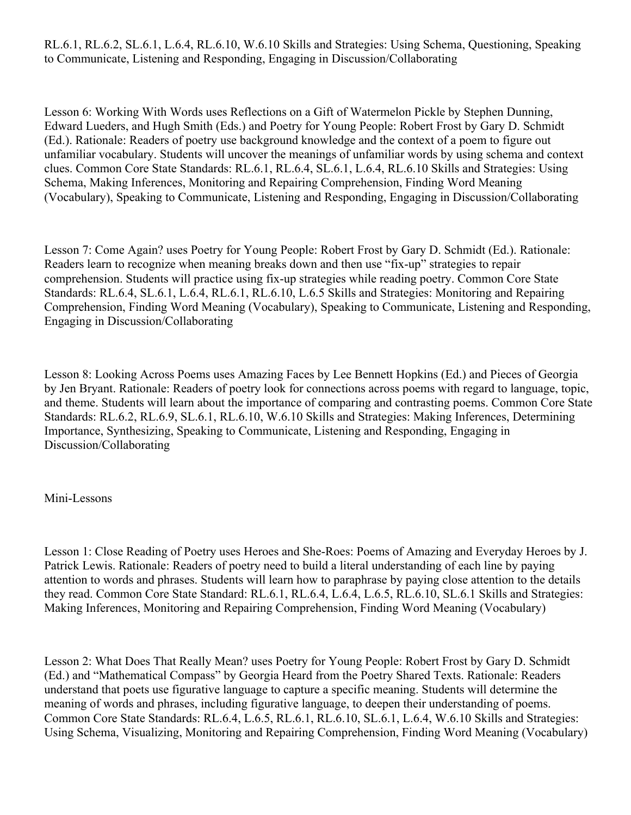RL.6.1, RL.6.2, SL.6.1, L.6.4, RL.6.10, W.6.10 Skills and Strategies: Using Schema, Questioning, Speaking to Communicate, Listening and Responding, Engaging in Discussion/Collaborating

Lesson 6: Working With Words uses Reflections on a Gift of Watermelon Pickle by Stephen Dunning, Edward Lueders, and Hugh Smith (Eds.) and Poetry for Young People: Robert Frost by Gary D. Schmidt (Ed.). Rationale: Readers of poetry use background knowledge and the context of a poem to figure out unfamiliar vocabulary. Students will uncover the meanings of unfamiliar words by using schema and context clues. Common Core State Standards: RL.6.1, RL.6.4, SL.6.1, L.6.4, RL.6.10 Skills and Strategies: Using Schema, Making Inferences, Monitoring and Repairing Comprehension, Finding Word Meaning (Vocabulary), Speaking to Communicate, Listening and Responding, Engaging in Discussion/Collaborating

Lesson 7: Come Again? uses Poetry for Young People: Robert Frost by Gary D. Schmidt (Ed.). Rationale: Readers learn to recognize when meaning breaks down and then use "fix-up" strategies to repair comprehension. Students will practice using fix-up strategies while reading poetry. Common Core State Standards: RL.6.4, SL.6.1, L.6.4, RL.6.1, RL.6.10, L.6.5 Skills and Strategies: Monitoring and Repairing Comprehension, Finding Word Meaning (Vocabulary), Speaking to Communicate, Listening and Responding, Engaging in Discussion/Collaborating

Lesson 8: Looking Across Poems uses Amazing Faces by Lee Bennett Hopkins (Ed.) and Pieces of Georgia by Jen Bryant. Rationale: Readers of poetry look for connections across poems with regard to language, topic, and theme. Students will learn about the importance of comparing and contrasting poems. Common Core State Standards: RL.6.2, RL.6.9, SL.6.1, RL.6.10, W.6.10 Skills and Strategies: Making Inferences, Determining Importance, Synthesizing, Speaking to Communicate, Listening and Responding, Engaging in Discussion/Collaborating

## Mini-Lessons

Lesson 1: Close Reading of Poetry uses Heroes and She-Roes: Poems of Amazing and Everyday Heroes by J. Patrick Lewis. Rationale: Readers of poetry need to build a literal understanding of each line by paying attention to words and phrases. Students will learn how to paraphrase by paying close attention to the details they read. Common Core State Standard: RL.6.1, RL.6.4, L.6.4, L.6.5, RL.6.10, SL.6.1 Skills and Strategies: Making Inferences, Monitoring and Repairing Comprehension, Finding Word Meaning (Vocabulary)

Lesson 2: What Does That Really Mean? uses Poetry for Young People: Robert Frost by Gary D. Schmidt (Ed.) and "Mathematical Compass" by Georgia Heard from the Poetry Shared Texts. Rationale: Readers understand that poets use figurative language to capture a specific meaning. Students will determine the meaning of words and phrases, including figurative language, to deepen their understanding of poems. Common Core State Standards: RL.6.4, L.6.5, RL.6.1, RL.6.10, SL.6.1, L.6.4, W.6.10 Skills and Strategies: Using Schema, Visualizing, Monitoring and Repairing Comprehension, Finding Word Meaning (Vocabulary)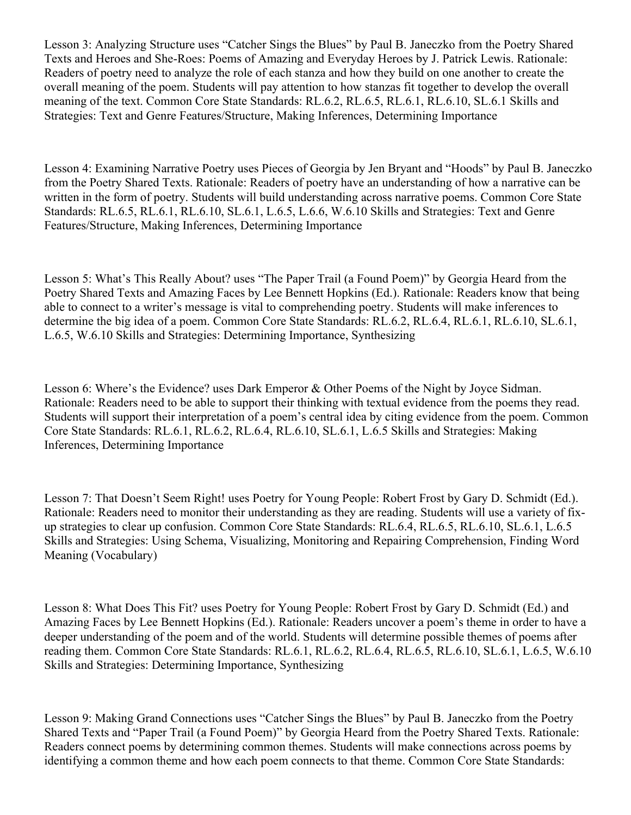Lesson 3: Analyzing Structure uses "Catcher Sings the Blues" by Paul B. Janeczko from the Poetry Shared Texts and Heroes and She-Roes: Poems of Amazing and Everyday Heroes by J. Patrick Lewis. Rationale: Readers of poetry need to analyze the role of each stanza and how they build on one another to create the overall meaning of the poem. Students will pay attention to how stanzas fit together to develop the overall meaning of the text. Common Core State Standards: RL.6.2, RL.6.5, RL.6.1, RL.6.10, SL.6.1 Skills and Strategies: Text and Genre Features/Structure, Making Inferences, Determining Importance

Lesson 4: Examining Narrative Poetry uses Pieces of Georgia by Jen Bryant and "Hoods" by Paul B. Janeczko from the Poetry Shared Texts. Rationale: Readers of poetry have an understanding of how a narrative can be written in the form of poetry. Students will build understanding across narrative poems. Common Core State Standards: RL.6.5, RL.6.1, RL.6.10, SL.6.1, L.6.5, L.6.6, W.6.10 Skills and Strategies: Text and Genre Features/Structure, Making Inferences, Determining Importance

Lesson 5: What's This Really About? uses "The Paper Trail (a Found Poem)" by Georgia Heard from the Poetry Shared Texts and Amazing Faces by Lee Bennett Hopkins (Ed.). Rationale: Readers know that being able to connect to a writer's message is vital to comprehending poetry. Students will make inferences to determine the big idea of a poem. Common Core State Standards: RL.6.2, RL.6.4, RL.6.1, RL.6.10, SL.6.1, L.6.5, W.6.10 Skills and Strategies: Determining Importance, Synthesizing

Lesson 6: Where's the Evidence? uses Dark Emperor & Other Poems of the Night by Joyce Sidman. Rationale: Readers need to be able to support their thinking with textual evidence from the poems they read. Students will support their interpretation of a poem's central idea by citing evidence from the poem. Common Core State Standards: RL.6.1, RL.6.2, RL.6.4, RL.6.10, SL.6.1, L.6.5 Skills and Strategies: Making Inferences, Determining Importance

Lesson 7: That Doesn't Seem Right! uses Poetry for Young People: Robert Frost by Gary D. Schmidt (Ed.). Rationale: Readers need to monitor their understanding as they are reading. Students will use a variety of fixup strategies to clear up confusion. Common Core State Standards: RL.6.4, RL.6.5, RL.6.10, SL.6.1, L.6.5 Skills and Strategies: Using Schema, Visualizing, Monitoring and Repairing Comprehension, Finding Word Meaning (Vocabulary)

Lesson 8: What Does This Fit? uses Poetry for Young People: Robert Frost by Gary D. Schmidt (Ed.) and Amazing Faces by Lee Bennett Hopkins (Ed.). Rationale: Readers uncover a poem's theme in order to have a deeper understanding of the poem and of the world. Students will determine possible themes of poems after reading them. Common Core State Standards: RL.6.1, RL.6.2, RL.6.4, RL.6.5, RL.6.10, SL.6.1, L.6.5, W.6.10 Skills and Strategies: Determining Importance, Synthesizing

Lesson 9: Making Grand Connections uses "Catcher Sings the Blues" by Paul B. Janeczko from the Poetry Shared Texts and "Paper Trail (a Found Poem)" by Georgia Heard from the Poetry Shared Texts. Rationale: Readers connect poems by determining common themes. Students will make connections across poems by identifying a common theme and how each poem connects to that theme. Common Core State Standards: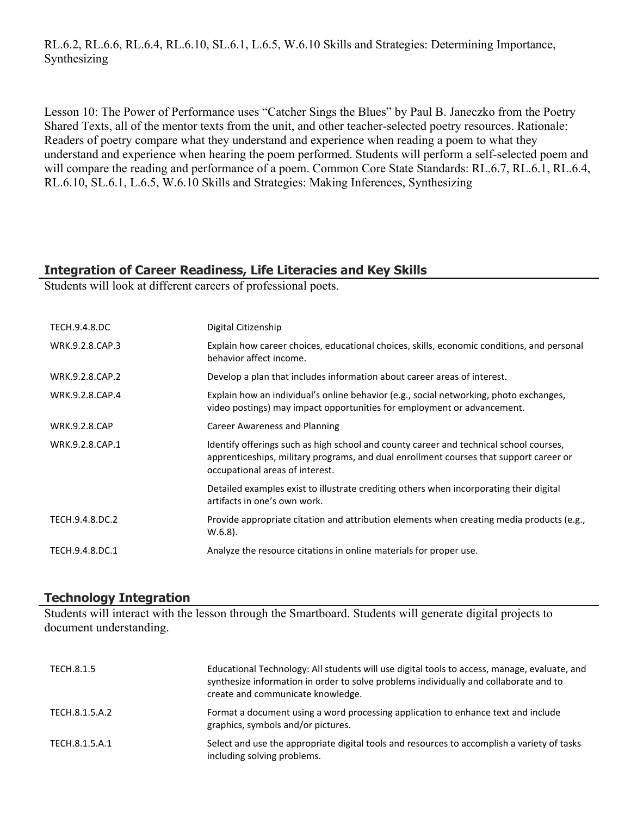RL.6.2, RL.6.6, RL.6.4, RL.6.10, SL.6.1, L.6.5, W.6.10 Skills and Strategies: Determining Importance, Synthesizing

Lesson 10: The Power of Performance uses "Catcher Sings the Blues" by Paul B. Janeczko from the Poetry Shared Texts, all of the mentor texts from the unit, and other teacher-selected poetry resources. Rationale: Readers of poetry compare what they understand and experience when reading a poem to what they understand and experience when hearing the poem performed. Students will perform a self-selected poem and will compare the reading and performance of a poem. Common Core State Standards: RL.6.7, RL.6.1, RL.6.4, RL.6.10, SL.6.1, L.6.5, W.6.10 Skills and Strategies: Making Inferences, Synthesizing

## **Integration of Career Readiness, Life Literacies and Key Skills**

Students will look at different careers of professional poets.

| <b>TECH.9.4.8.DC</b> | Digital Citizenship                                                                                                                                                                                                 |
|----------------------|---------------------------------------------------------------------------------------------------------------------------------------------------------------------------------------------------------------------|
| WRK.9.2.8.CAP.3      | Explain how career choices, educational choices, skills, economic conditions, and personal<br>behavior affect income.                                                                                               |
| WRK.9.2.8.CAP.2      | Develop a plan that includes information about career areas of interest.                                                                                                                                            |
| WRK.9.2.8.CAP.4      | Explain how an individual's online behavior (e.g., social networking, photo exchanges,<br>video postings) may impact opportunities for employment or advancement.                                                   |
| <b>WRK.9.2.8.CAP</b> | Career Awareness and Planning                                                                                                                                                                                       |
| WRK.9.2.8.CAP.1      | Identify offerings such as high school and county career and technical school courses,<br>apprenticeships, military programs, and dual enrollment courses that support career or<br>occupational areas of interest. |
|                      | Detailed examples exist to illustrate crediting others when incorporating their digital<br>artifacts in one's own work.                                                                                             |
| TECH.9.4.8.DC.2      | Provide appropriate citation and attribution elements when creating media products (e.g.,<br>$W.6.8$ ).                                                                                                             |
| TECH.9.4.8.DC.1      | Analyze the resource citations in online materials for proper use.                                                                                                                                                  |

## **Technology Integration**

Students will interact with the lesson through the Smartboard. Students will generate digital projects to document understanding.

| TECH.8.1.5     | Educational Technology: All students will use digital tools to access, manage, evaluate, and<br>synthesize information in order to solve problems individually and collaborate and to<br>create and communicate knowledge. |
|----------------|----------------------------------------------------------------------------------------------------------------------------------------------------------------------------------------------------------------------------|
| TECH.8.1.5.A.2 | Format a document using a word processing application to enhance text and include<br>graphics, symbols and/or pictures.                                                                                                    |
| TECH.8.1.5.A.1 | Select and use the appropriate digital tools and resources to accomplish a variety of tasks<br>including solving problems.                                                                                                 |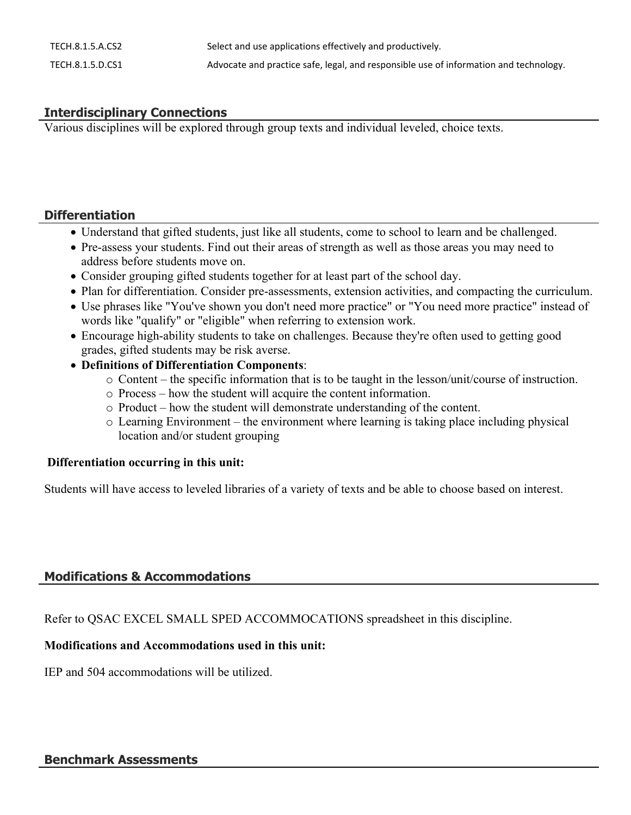| TECH.8.1.5.A.CS2 | Select and use applications effectively and productively.                             |
|------------------|---------------------------------------------------------------------------------------|
| TECH.8.1.5.D.CS1 | Advocate and practice safe, legal, and responsible use of information and technology. |

# **Interdisciplinary Connections**

Various disciplines will be explored through group texts and individual leveled, choice texts.

#### **Differentiation**

- Understand that gifted students, just like all students, come to school to learn and be challenged.
- Pre-assess your students. Find out their areas of strength as well as those areas you may need to address before students move on.
- Consider grouping gifted students together for at least part of the school day.
- Plan for differentiation. Consider pre-assessments, extension activities, and compacting the curriculum.
- Use phrases like "You've shown you don't need more practice" or "You need more practice" instead of words like "qualify" or "eligible" when referring to extension work.
- Encourage high-ability students to take on challenges. Because they're often used to getting good grades, gifted students may be risk averse.
- **Definitions of Differentiation Components**:
	- o Content the specific information that is to be taught in the lesson/unit/course of instruction.
	- o Process how the student will acquire the content information.
	- o Product how the student will demonstrate understanding of the content.
	- $\circ$  Learning Environment the environment where learning is taking place including physical location and/or student grouping

#### **Differentiation occurring in this unit:**

Students will have access to leveled libraries of a variety of texts and be able to choose based on interest.

# **Modifications & Accommodations**

Refer to QSAC EXCEL SMALL SPED ACCOMMOCATIONS spreadsheet in this discipline.

# **Modifications and Accommodations used in this unit:**

IEP and 504 accommodations will be utilized.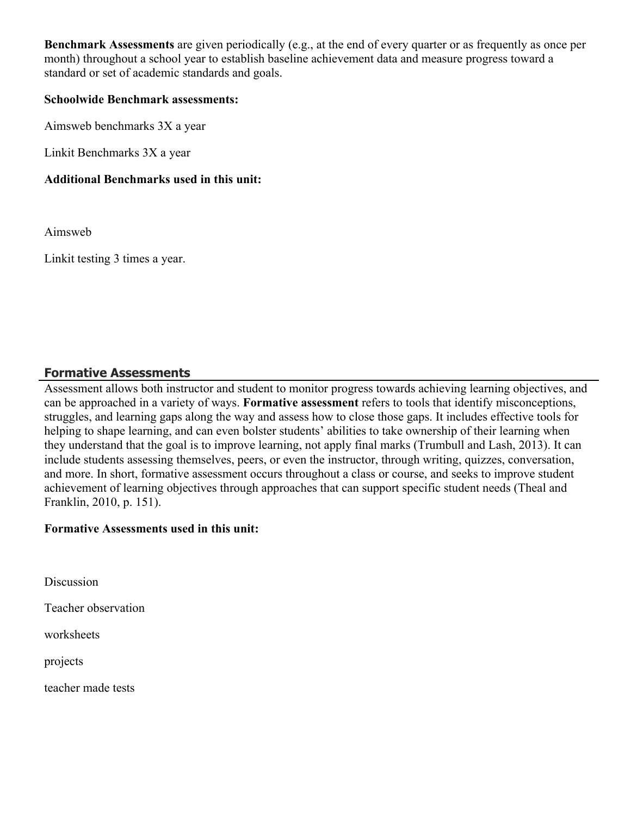**Benchmark Assessments** are given periodically (e.g., at the end of every quarter or as frequently as once per month) throughout a school year to establish baseline achievement data and measure progress toward a standard or set of academic standards and goals.

#### **Schoolwide Benchmark assessments:**

Aimsweb benchmarks 3X a year

Linkit Benchmarks 3X a year

## **Additional Benchmarks used in this unit:**

Aimsweb

Linkit testing 3 times a year.

## **Formative Assessments**

Assessment allows both instructor and student to monitor progress towards achieving learning objectives, and can be approached in a variety of ways. **Formative assessment** refers to tools that identify misconceptions, struggles, and learning gaps along the way and assess how to close those gaps. It includes effective tools for helping to shape learning, and can even bolster students' abilities to take ownership of their learning when they understand that the goal is to improve learning, not apply final marks (Trumbull and Lash, 2013). It can include students assessing themselves, peers, or even the instructor, through writing, quizzes, conversation, and more. In short, formative assessment occurs throughout a class or course, and seeks to improve student achievement of learning objectives through approaches that can support specific student needs (Theal and Franklin, 2010, p. 151).

## **Formative Assessments used in this unit:**

**Discussion** 

Teacher observation

worksheets

projects

teacher made tests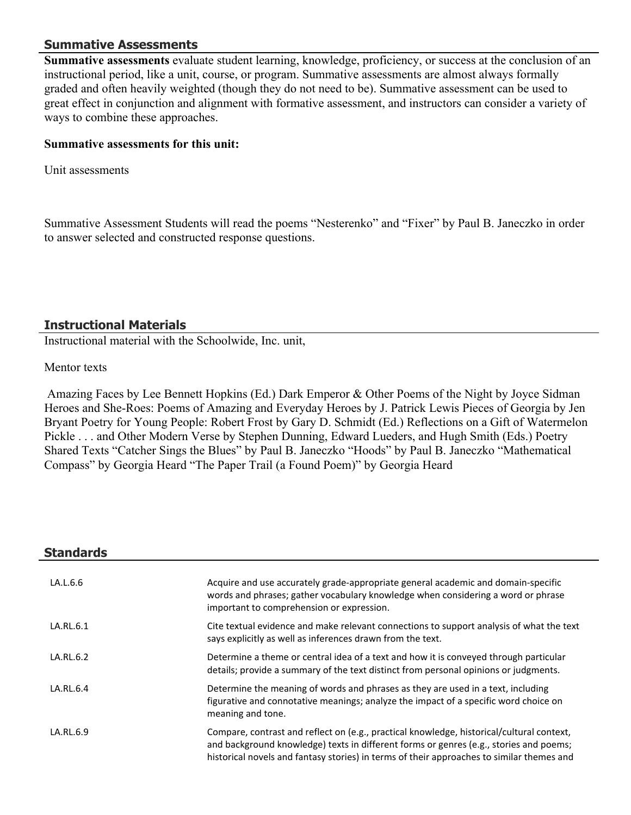## **Summative Assessments**

**Summative assessments** evaluate student learning, knowledge, proficiency, or success at the conclusion of an instructional period, like a unit, course, or program. Summative assessments are almost always formally graded and often heavily weighted (though they do not need to be). Summative assessment can be used to great effect in conjunction and alignment with formative assessment, and instructors can consider a variety of ways to combine these approaches.

#### **Summative assessments for this unit:**

Unit assessments

Summative Assessment Students will read the poems "Nesterenko" and "Fixer" by Paul B. Janeczko in order to answer selected and constructed response questions.

## **Instructional Materials**

Instructional material with the Schoolwide, Inc. unit,

#### Mentor texts

 Amazing Faces by Lee Bennett Hopkins (Ed.) Dark Emperor & Other Poems of the Night by Joyce Sidman Heroes and She-Roes: Poems of Amazing and Everyday Heroes by J. Patrick Lewis Pieces of Georgia by Jen Bryant Poetry for Young People: Robert Frost by Gary D. Schmidt (Ed.) Reflections on a Gift of Watermelon Pickle . . . and Other Modern Verse by Stephen Dunning, Edward Lueders, and Hugh Smith (Eds.) Poetry Shared Texts "Catcher Sings the Blues" by Paul B. Janeczko "Hoods" by Paul B. Janeczko "Mathematical Compass" by Georgia Heard "The Paper Trail (a Found Poem)" by Georgia Heard

| <b>Standards</b> |                                                                                                                                                                                                                                                                                  |
|------------------|----------------------------------------------------------------------------------------------------------------------------------------------------------------------------------------------------------------------------------------------------------------------------------|
| LA.L.6.6         | Acquire and use accurately grade-appropriate general academic and domain-specific<br>words and phrases; gather vocabulary knowledge when considering a word or phrase<br>important to comprehension or expression.                                                               |
| LA.RL.6.1        | Cite textual evidence and make relevant connections to support analysis of what the text<br>says explicitly as well as inferences drawn from the text.                                                                                                                           |
| LA.RL.6.2        | Determine a theme or central idea of a text and how it is conveyed through particular<br>details; provide a summary of the text distinct from personal opinions or judgments.                                                                                                    |
| LA.RL.6.4        | Determine the meaning of words and phrases as they are used in a text, including<br>figurative and connotative meanings; analyze the impact of a specific word choice on<br>meaning and tone.                                                                                    |
| LA.RL.6.9        | Compare, contrast and reflect on (e.g., practical knowledge, historical/cultural context,<br>and background knowledge) texts in different forms or genres (e.g., stories and poems;<br>historical novels and fantasy stories) in terms of their approaches to similar themes and |